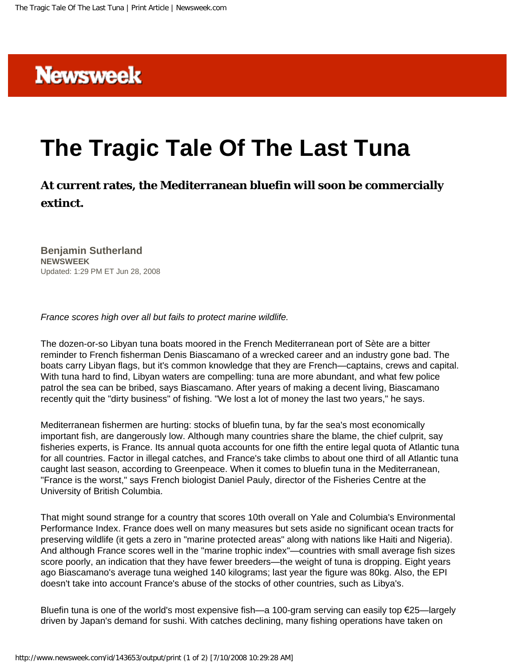

## **The Tragic Tale Of The Last Tuna**

**At current rates, the Mediterranean bluefin will soon be commercially extinct.**

**Benjamin Sutherland NEWSWEEK** Updated: 1:29 PM ET Jun 28, 2008

*France scores high over all but fails to protect marine wildlife.*

The dozen-or-so Libyan tuna boats moored in the French Mediterranean port of Sète are a bitter reminder to French fisherman Denis Biascamano of a wrecked career and an industry gone bad. The boats carry Libyan flags, but it's common knowledge that they are French—captains, crews and capital. With tuna hard to find, Libyan waters are compelling: tuna are more abundant, and what few police patrol the sea can be bribed, says Biascamano. After years of making a decent living, Biascamano recently quit the "dirty business" of fishing. "We lost a lot of money the last two years," he says.

Mediterranean fishermen are hurting: stocks of bluefin tuna, by far the sea's most economically important fish, are dangerously low. Although many countries share the blame, the chief culprit, say fisheries experts, is France. Its annual quota accounts for one fifth the entire legal quota of Atlantic tuna for all countries. Factor in illegal catches, and France's take climbs to about one third of all Atlantic tuna caught last season, according to Greenpeace. When it comes to bluefin tuna in the Mediterranean, "France is the worst," says French biologist Daniel Pauly, director of the Fisheries Centre at the University of British Columbia.

That might sound strange for a country that scores 10th overall on Yale and Columbia's Environmental Performance Index. France does well on many measures but sets aside no significant ocean tracts for preserving wildlife (it gets a zero in "marine protected areas" along with nations like Haiti and Nigeria). And although France scores well in the "marine trophic index"—countries with small average fish sizes score poorly, an indication that they have fewer breeders—the weight of tuna is dropping. Eight years ago Biascamano's average tuna weighed 140 kilograms; last year the figure was 80kg. Also, the EPI doesn't take into account France's abuse of the stocks of other countries, such as Libya's.

Bluefin tuna is one of the world's most expensive fish—a 100-gram serving can easily top €25—largely driven by Japan's demand for sushi. With catches declining, many fishing operations have taken on